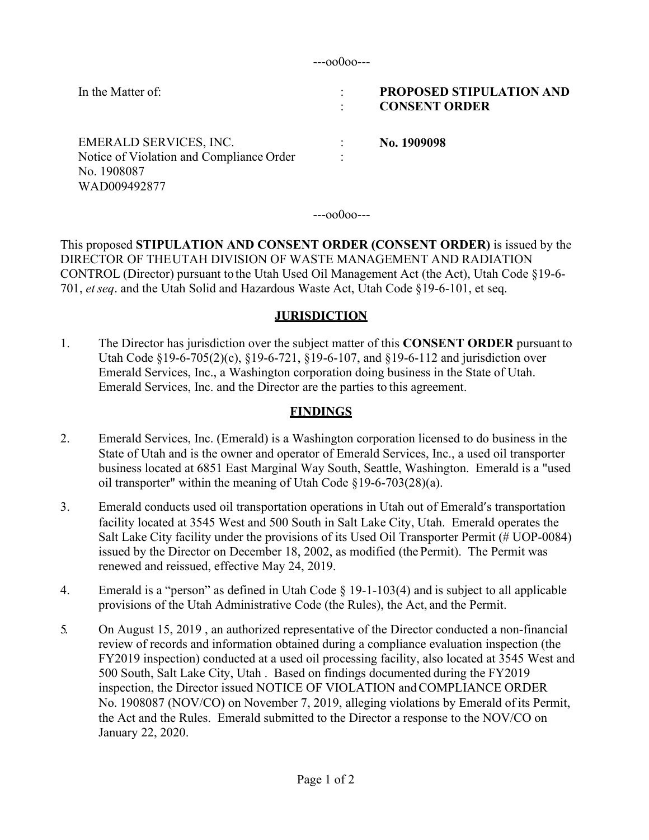---oo0oo---

| In the Matter of:                                                                                 | $\bullet$ | <b>PROPOSED STIPULATION AND</b><br><b>CONSENT ORDER</b> |
|---------------------------------------------------------------------------------------------------|-----------|---------------------------------------------------------|
| EMERALD SERVICES, INC.<br>Notice of Violation and Compliance Order<br>No. 1908087<br>WAD009492877 | $\bullet$ | No. 1909098                                             |

---oo0oo---

This proposed **STIPULATION AND CONSENT ORDER (CONSENT ORDER)** is issued by the DIRECTOR OF THEUTAH DIVISION OF WASTE MANAGEMENT AND RADIATION CONTROL (Director) pursuant to the Utah Used Oil Management Act (the Act), Utah Code §19-6- 701, *etseq*. and the Utah Solid and Hazardous Waste Act, Utah Code §19-6-101, et seq.

## **JURISDICTION**

1. The Director has jurisdiction over the subject matter of this **CONSENT ORDER** pursuant to Utah Code §19-6-705(2)(c), §19-6-721, §19-6-107, and §19-6-112 and jurisdiction over Emerald Services, Inc., a Washington corporation doing business in the State of Utah. Emerald Services, Inc. and the Director are the parties to this agreement.

# **FINDINGS**

- 2. Emerald Services, Inc. (Emerald) is a Washington corporation licensed to do business in the State of Utah and is the owner and operator of Emerald Services, Inc., a used oil transporter business located at 6851 East Marginal Way South, Seattle, Washington. Emerald is a "used oil transporter" within the meaning of Utah Code §19-6-703(28)(a).
- 3. Emerald conducts used oil transportation operations in Utah out of Emerald's transportation facility located at 3545 West and 500 South in Salt Lake City, Utah. Emerald operates the Salt Lake City facility under the provisions of its Used Oil Transporter Permit (# UOP-0084) issued by the Director on December 18, 2002, as modified (the Permit). The Permit was renewed and reissued, effective May 24, 2019.
- 4. Emerald is a "person" as defined in Utah Code § 19-1-103(4) and is subject to all applicable provisions of the Utah Administrative Code (the Rules), the Act, and the Permit.
- 5. On August 15, 2019 , an authorized representative of the Director conducted a non-financial review of records and information obtained during a compliance evaluation inspection (the FY2019 inspection) conducted at a used oil processing facility, also located at 3545 West and 500 South, Salt Lake City, Utah . Based on findings documented during the FY2019 inspection, the Director issued NOTICE OF VIOLATION and COMPLIANCE ORDER No. 1908087 (NOV/CO) on November 7, 2019, alleging violations by Emerald of its Permit, the Act and the Rules. Emerald submitted to the Director a response to the NOV/CO on January 22, 2020.